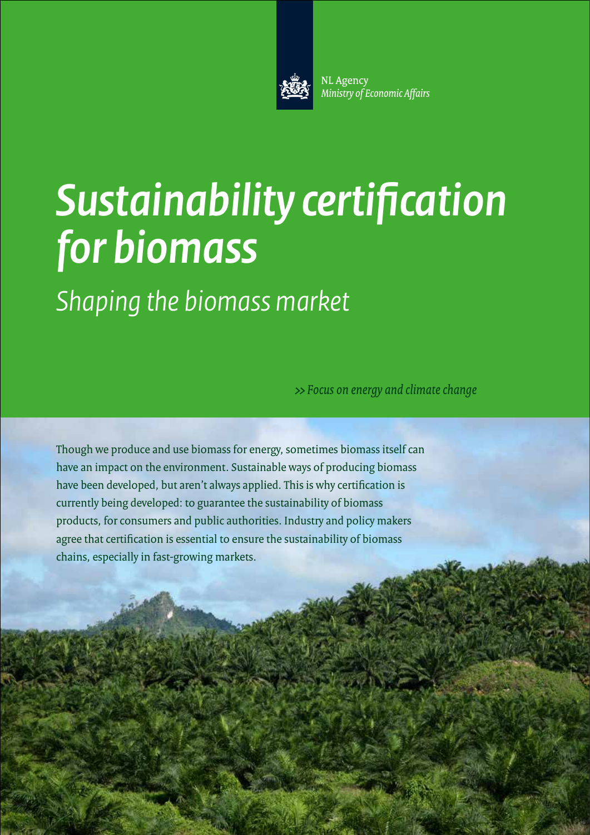

NL Agency Ministry of Economic Affairs

# *Sustainability certification for biomass*

*Shaping the biomass market*

>> Focus on energy and climate change

Though we produce and use biomass for energy, sometimes biomass itself can have an impact on the environment. Sustainable ways of producing biomass have been developed, but aren't always applied. This is why certification is currently being developed: to guarantee the sustainability of biomass products, for consumers and public authorities. Industry and policy makers agree that certification is essential to ensure the sustainability of biomass chains, especially in fast-growing markets.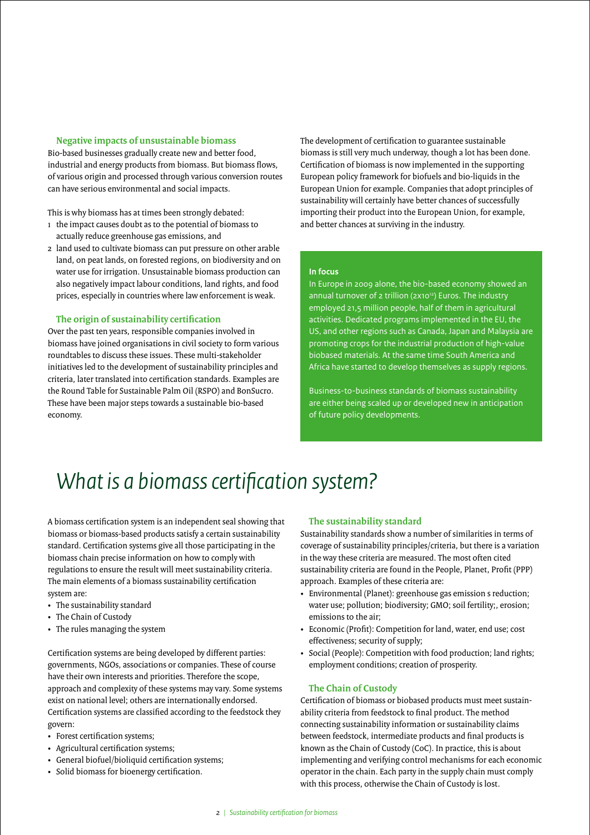#### **Negative impacts of unsustainable biomass**

Bio-based businesses gradually create new and better food, industrial and energy products from biomass. But biomass flows, of various origin and processed through various conversion routes can have serious environmental and social impacts.

This is why biomass has at times been strongly debated:

- 1 the impact causes doubt as to the potential of biomass to actually reduce greenhouse gas emissions, and
- 2 land used to cultivate biomass can put pressure on other arable land, on peat lands, on forested regions, on biodiversity and on water use for irrigation. Unsustainable biomass production can also negatively impact labour conditions, land rights, and food prices, especially in countries where law enforcement is weak.

#### **The origin of sustainability certification**

Over the past ten years, responsible companies involved in biomass have joined organisations in civil society to form various roundtables to discuss these issues. These multi-stakeholder initiatives led to the development of sustainability principles and criteria, later translated into certification standards. Examples are the Round Table for Sustainable Palm Oil (RSPO) and BonSucro. These have been major steps towards a sustainable bio-based economy.

The development of certification to guarantee sustainable biomass is still very much underway, though a lot has been done. Certification of biomass is now implemented in the supporting European policy framework for biofuels and bio-liquids in the European Union for example. Companies that adopt principles of sustainability will certainly have better chances of successfully importing their product into the European Union, for example, and better chances at surviving in the industry.

#### **In focus**

In Europe in 2009 alone, the bio-based economy showed an annual turnover of 2 trillion (2x10<sup>12</sup>) Euros. The industry employed 21,5 million people, half of them in agricultural activities. Dedicated programs implemented in the EU, the US, and other regions such as Canada, Japan and Malaysia are promoting crops for the industrial production of high-value biobased materials. At the same time South America and Africa have started to develop themselves as supply regions.

Business-to-business standards of biomass sustainability are either being scaled up or developed new in anticipation of future policy developments.

### *What is a biomass certification system?*

A biomass certification system is an independent seal showing that biomass or biomass-based products satisfy a certain sustainability standard. Certification systems give all those participating in the biomass chain precise information on how to comply with regulations to ensure the result will meet sustainability criteria. The main elements of a biomass sustainability certification system are:

- • The sustainability standard
- The Chain of Custody
- The rules managing the system

Certification systems are being developed by different parties: governments, NGOs, associations or companies. These of course have their own interests and priorities. Therefore the scope, approach and complexity of these systems may vary. Some systems exist on national level; others are internationally endorsed. Certification systems are classified according to the feedstock they govern:

- Forest certification systems;
- Agricultural certification systems;
- General biofuel/bioliquid certification systems;
- • Solid biomass for bioenergy certification.

#### **The sustainability standard**

Sustainability standards show a number of similarities in terms of coverage of sustainability principles/criteria, but there is a variation in the way these criteria are measured. The most often cited sustainability criteria are found in the People, Planet, Profit (PPP) approach. Examples of these criteria are:

- • Environmental (Planet): greenhouse gas emission s reduction; water use; pollution; biodiversity; GMO; soil fertility;, erosion; emissions to the air;
- • Economic (Profit): Competition for land, water, end use; cost effectiveness; security of supply;
- Social (People): Competition with food production; land rights; employment conditions; creation of prosperity.

#### **The Chain of Custody**

Certification of biomass or biobased products must meet sustainability criteria from feedstock to final product. The method connecting sustainability information or sustainability claims between feedstock, intermediate products and final products is known as the Chain of Custody (CoC). In practice, this is about implementing and verifying control mechanisms for each economic operator in the chain. Each party in the supply chain must comply with this process, otherwise the Chain of Custody is lost.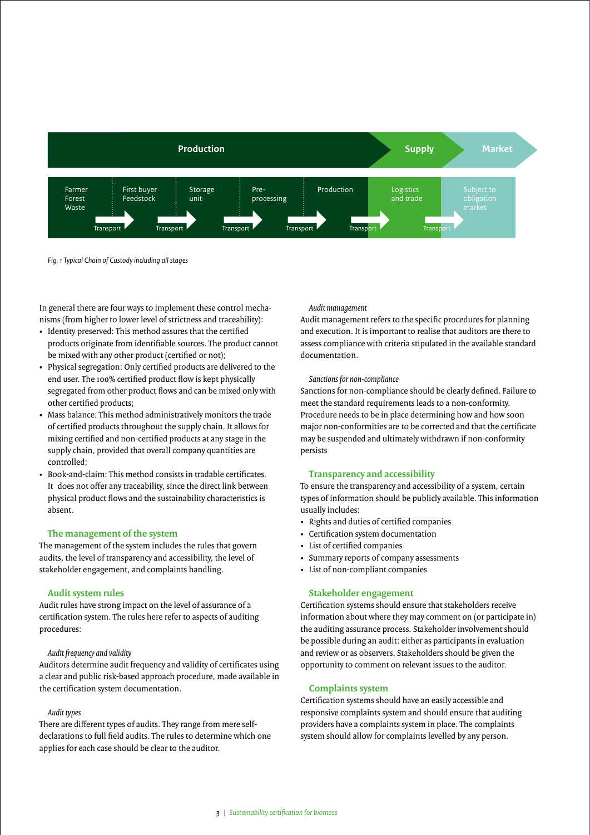

*Fig. 1 Typical Chain of Custody including all stages* 

In general there are four ways to implement these control mechanisms (from higher to lower level of strictness and traceability):

- Identity preserved: This method assures that the certified products originate from identifiable sources. The product cannot be mixed with any other product (certified or not);
- Physical segregation: Only certified products are delivered to the end user. The 100% certified product flow is kept physically segregated from other product flows and can be mixed only with other certified products;
- Mass balance: This method administratively monitors the trade of certified products throughout the supply chain. It allows for mixing certified and non-certified products at any stage in the supply chain, provided that overall company quantities are controlled;
- Book-and-claim: This method consists in tradable certificates It does not offer any traceability, since the direct link between physical product flows and the sustainability characteristics is absent.

#### **The management of the system**

The management of the system includes the rules that govern audits, the level of transparency and accessibility, the level of stakeholder engagement, and complaints handling.

#### **Audit system rules**

Audit rules have strong impact on the level of assurance of a certification system. The rules here refer to aspects of auditing procedures:

#### *Audit frequency and validity*

Auditors determine audit frequency and validity of certificates using a clear and public risk-based approach procedure, made available in the certification system documentation.

#### *Audit types*

There are different types of audits. They range from mere selfdeclarations to full field audits. The rules to determine which one applies for each case should be clear to the auditor.

#### *Audit management*

Audit management refers to the specific procedures for planning and execution. It is important to realise that auditors are there to assess compliance with criteria stipulated in the available standard documentation.

#### *Sanctions for non-compliance*

Sanctions for non-compliance should be clearly defined. Failure to meet the standard requirements leads to a non-conformity. Procedure needs to be in place determining how and how soon major non-conformities are to be corrected and that the certificate may be suspended and ultimately withdrawn if non-conformity persists

#### **Transparency and accessibility**

To ensure the transparency and accessibility of a system, certain types of information should be publicly available. This information usually includes:

- • Rights and duties of certified companies
- • Certification system documentation
- • List of certified companies
- • Summary reports of company assessments
- • List of non-compliant companies

#### **Stakeholder engagement**

Certification systems should ensure that stakeholders receive information about where they may comment on (or participate in) the auditing assurance process. Stakeholder involvement should be possible during an audit: either as participants in evaluation and review or as observers. Stakeholders should be given the opportunity to comment on relevant issues to the auditor.

#### **Complaints system**

Certification systems should have an easily accessible and responsive complaints system and should ensure that auditing providers have a complaints system in place. The complaints system should allow for complaints levelled by any person.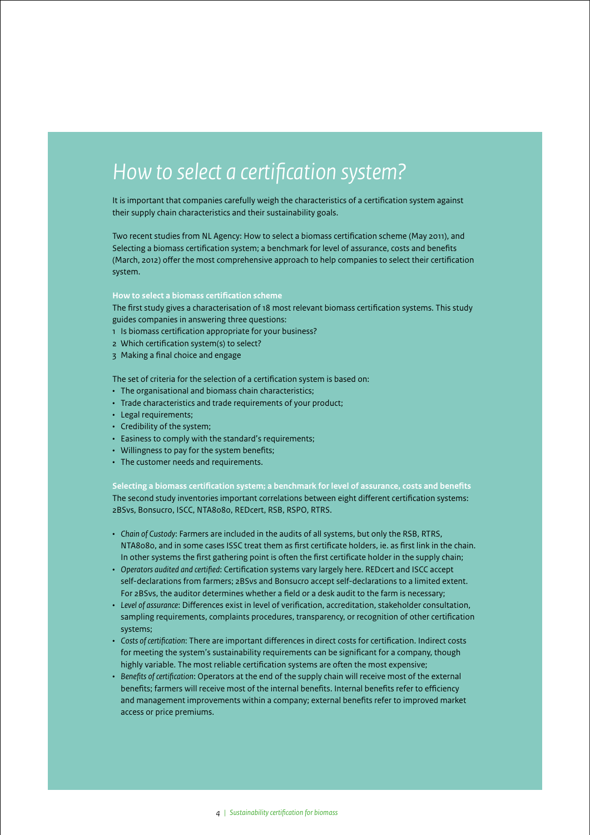# *How to select a certification system?*

It is important that companies carefully weigh the characteristics of a certification system against their supply chain characteristics and their sustainability goals.

Two recent studies from NL Agency: How to select a biomass certification scheme (May 2011), and Selecting a biomass certification system; a benchmark for level of assurance, costs and benefits (March, 2012) offer the most comprehensive approach to help companies to select their certification system.

#### **How to select a biomass certification scheme**

The first study gives a characterisation of 18 most relevant biomass certification systems. This study guides companies in answering three questions:

- 1 Is biomass certification appropriate for your business?
- 2 Which certification system(s) to select?
- 3 Making a final choice and engage

The set of criteria for the selection of a certification system is based on:

- The organisational and biomass chain characteristics;
- Trade characteristics and trade requirements of your product;
- Legal requirements;
- • Credibility of the system;
- • Easiness to comply with the standard's requirements;
- Willingness to pay for the system benefits;
- • The customer needs and requirements.

**Selecting a biomass certification system; a benchmark for level of assurance, costs and benefits**  The second study inventories important correlations between eight different certification systems: 2BSvs, Bonsucro, ISCC, NTA8080, REDcert, RSB, RSPO, RTRS.

- • *Chain of Custody*: Farmers are included in the audits of all systems, but only the RSB, RTRS, NTA8080, and in some cases ISSC treat them as first certificate holders, ie. as first link in the chain. In other systems the first gathering point is often the first certificate holder in the supply chain;
- • *Operators audited and certified*: Certification systems vary largely here. REDcert and ISCC accept self-declarations from farmers; 2BSvs and Bonsucro accept self-declarations to a limited extent. For 2BSvs, the auditor determines whether a field or a desk audit to the farm is necessary;
- • *Level of assurance*: Differences exist in level of verification, accreditation, stakeholder consultation, sampling requirements, complaints procedures, transparency, or recognition of other certification systems;
- • *Costs of certification*: There are important differences in direct costs for certification. Indirect costs for meeting the system's sustainability requirements can be significant for a company, though highly variable. The most reliable certification systems are often the most expensive;
- • *Benefits of certification*: Operators at the end of the supply chain will receive most of the external benefits; farmers will receive most of the internal benefits. Internal benefits refer to efficiency and management improvements within a company; external benefits refer to improved market access or price premiums.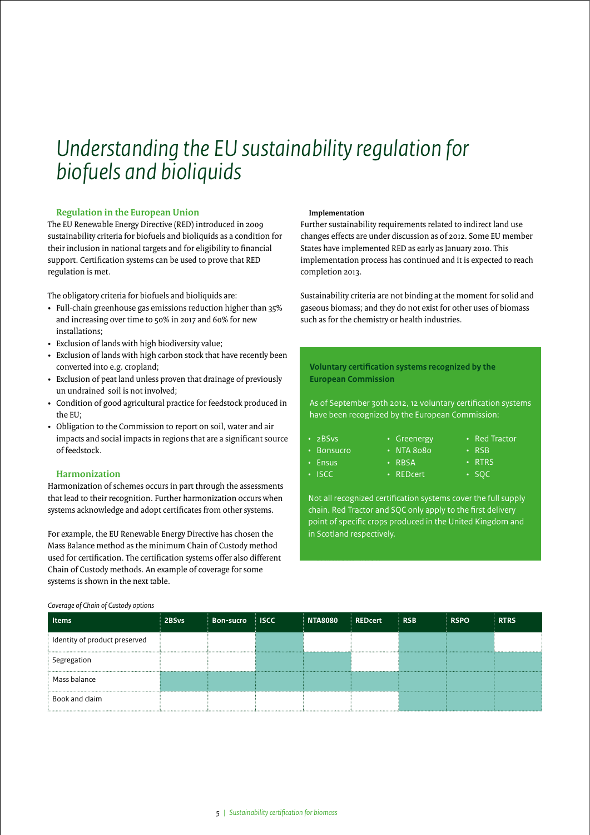### *Understanding the EU sustainability regulation for biofuels and bioliquids*

#### **Regulation in the European Union**

The EU Renewable Energy Directive (RED) introduced in 2009 sustainability criteria for biofuels and bioliquids as a condition for their inclusion in national targets and for eligibility to financial support. Certification systems can be used to prove that RED regulation is met.

The obligatory criteria for biofuels and bioliquids are:

- Full-chain greenhouse gas emissions reduction higher than 35% and increasing over time to 50% in 2017 and 60% for new installations;
- • Exclusion of lands with high biodiversity value;
- Exclusion of lands with high carbon stock that have recently been converted into e.g. cropland;
- Exclusion of peat land unless proven that drainage of previously un undrained soil is not involved;
- Condition of good agricultural practice for feedstock produced in the EU;
- • Obligation to the Commission to report on soil, water and air impacts and social impacts in regions that are a significant source of feedstock.

#### **Harmonization**

Harmonization of schemes occurs in part through the assessments that lead to their recognition. Further harmonization occurs when systems acknowledge and adopt certificates from other systems.

For example, the EU Renewable Energy Directive has chosen the Mass Balance method as the minimum Chain of Custody method used for certification. The certification systems offer also different Chain of Custody methods. An example of coverage for some systems is shown in the next table.

#### **Implementation**

Further sustainability requirements related to indirect land use changes effects are under discussion as of 2012. Some EU member States have implemented RED as early as January 2010. This implementation process has continued and it is expected to reach completion 2013.

Sustainability criteria are not binding at the moment for solid and gaseous biomass; and they do not exist for other uses of biomass such as for the chemistry or health industries.

#### **Voluntary certification systems recognized by the European Commission**

As of September 30th 2012, 12 voluntary certification systems have been recognized by the European Commission:

> • NTA 8080 • RBSA • REDcert

• 2BSvs

• Bonsucro • Ensus • ISCC

**Harmonization**

- • Greenergy • Red Tractor
	- • RSB
		- • RTRS
		- • SQC

Not all recognized certification systems cover the full supply chain. Red Tractor and SQC only apply to the first delivery point of specific crops produced in the United Kingdom and in Scotland respectively.

| <b>Items</b>                  | 2BSvs | <b>Bon-sucro</b> | $\pm$ ISCC $\pm$ | <b>NTA8080</b> | <b>REDcert</b> | ERSB | <b>RSPO</b> | <b>RTRS</b> |
|-------------------------------|-------|------------------|------------------|----------------|----------------|------|-------------|-------------|
| Identity of product preserved |       |                  |                  |                |                |      |             |             |
| Segregation                   |       |                  |                  |                |                |      |             |             |
| Mass balance                  |       |                  |                  |                |                |      |             |             |
| Book and claim                |       |                  |                  |                |                |      |             |             |

#### *Coverage of Chain of Custody options*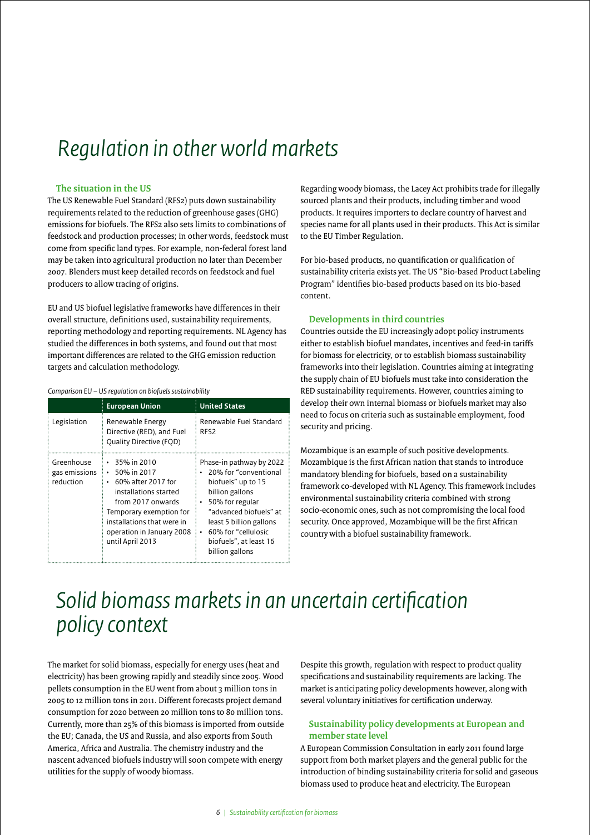# *Regulation in other world markets*

#### **The situation in the US**

The US Renewable Fuel Standard (RFS2) puts down sustainability requirements related to the reduction of greenhouse gases (GHG) emissions for biofuels. The RFS2 also sets limits to combinations of feedstock and production processes; in other words, feedstock must come from specific land types. For example, non-federal forest land may be taken into agricultural production no later than December 2007. Blenders must keep detailed records on feedstock and fuel producers to allow tracing of origins.

EU and US biofuel legislative frameworks have differences in their overall structure, definitions used, sustainability requirements, reporting methodology and reporting requirements. NL Agency has studied the differences in both systems, and found out that most important differences are related to the GHG emission reduction targets and calculation methodology.

#### *Comparison EU – US regulation on biofuels sustainability*

|                                          | <b>European Union</b>                                                                                                                                                                                                                      | <b>United States</b>                                                                                                                                                                                                                     |  |  |  |
|------------------------------------------|--------------------------------------------------------------------------------------------------------------------------------------------------------------------------------------------------------------------------------------------|------------------------------------------------------------------------------------------------------------------------------------------------------------------------------------------------------------------------------------------|--|--|--|
| Legislation                              | Renewable Energy<br>Directive (RED), and Fuel<br>Quality Directive (FQD)                                                                                                                                                                   | Renewable Fuel Standard<br>RFS2                                                                                                                                                                                                          |  |  |  |
| Greenhouse<br>gas emissions<br>reduction | $\cdot$ 35% in 2010<br>50% in 2017<br>$\bullet$<br>60% after 2017 for<br>$\bullet$<br>installations started<br>from 2017 onwards<br>Temporary exemption for<br>installations that were in<br>operation in January 2008<br>until April 2013 | Phase-in pathway by 2022<br>20% for "conventional<br>biofuels" up to 15<br>billion gallons<br>• 50% for regular<br>"advanced biofuels" at<br>least 5 billion gallons<br>60% for "cellulosic<br>biofuels", at least 16<br>billion gallons |  |  |  |

Regarding woody biomass, the Lacey Act prohibits trade for illegally sourced plants and their products, including timber and wood products. It requires importers to declare country of harvest and species name for all plants used in their products. This Act is similar to the EU Timber Regulation.

For bio-based products, no quantification or qualification of sustainability criteria exists yet. The US "Bio-based Product Labeling Program" identifies bio-based products based on its bio-based content.

#### **Developments in third countries**

Countries outside the EU increasingly adopt policy instruments either to establish biofuel mandates, incentives and feed-in tariffs for biomass for electricity, or to establish biomass sustainability frameworks into their legislation. Countries aiming at integrating the supply chain of EU biofuels must take into consideration the RED sustainability requirements. However, countries aiming to develop their own internal biomass or biofuels market may also need to focus on criteria such as sustainable employment, food security and pricing.

Mozambique is an example of such positive developments. Mozambique is the first African nation that stands to introduce mandatory blending for biofuels, based on a sustainability framework co-developed with NL Agency. This framework includes environmental sustainability criteria combined with strong socio-economic ones, such as not compromising the local food security. Once approved, Mozambique will be the first African country with a biofuel sustainability framework.

### *Solid biomass markets in an uncertain certification policy context*

The market for solid biomass, especially for energy uses (heat and electricity) has been growing rapidly and steadily since 2005. Wood pellets consumption in the EU went from about 3 million tons in 2005 to 12 million tons in 2011. Different forecasts project demand consumption for 2020 between 20 million tons to 80 million tons. Currently, more than 25% of this biomass is imported from outside the EU; Canada, the US and Russia, and also exports from South America, Africa and Australia. The chemistry industry and the nascent advanced biofuels industry will soon compete with energy utilities for the supply of woody biomass.

Despite this growth, regulation with respect to product quality specifications and sustainability requirements are lacking. The market is anticipating policy developments however, along with several voluntary initiatives for certification underway.

#### **Sustainability policy developments at European and member state level**

A European Commission Consultation in early 2011 found large support from both market players and the general public for the introduction of binding sustainability criteria for solid and gaseous biomass used to produce heat and electricity. The European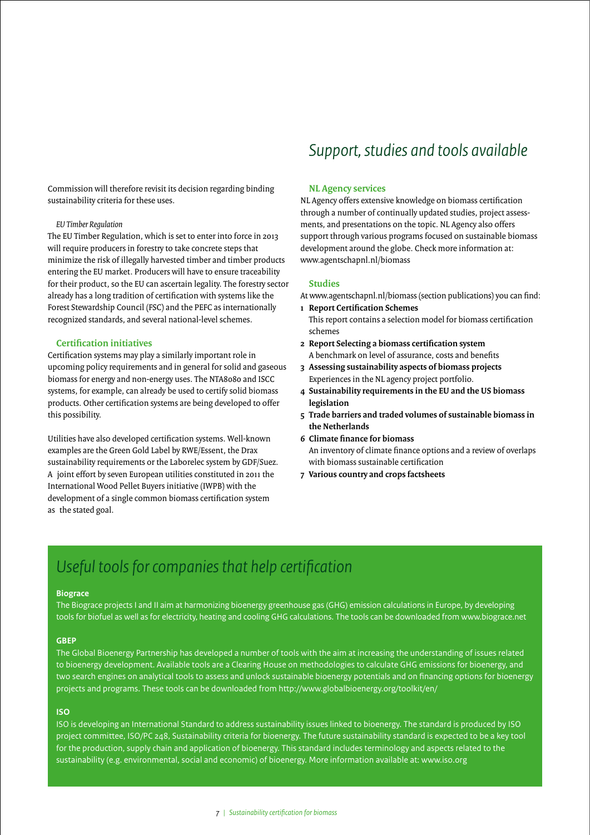Commission will therefore revisit its decision regarding binding sustainability criteria for these uses.

#### *EU Timber Regulation*

The EU Timber Regulation, which is set to enter into force in 2013 will require producers in forestry to take concrete steps that minimize the risk of illegally harvested timber and timber products entering the EU market. Producers will have to ensure traceability for their product, so the EU can ascertain legality. The forestry sector already has a long tradition of certification with systems like the Forest Stewardship Council (FSC) and the PEFC as internationally recognized standards, and several national-level schemes.

#### **Certification initiatives**

Certification systems may play a similarly important role in upcoming policy requirements and in general for solid and gaseous biomass for energy and non-energy uses. The NTA8080 and ISCC systems, for example, can already be used to certify solid biomass products. Other certification systems are being developed to offer this possibility.

Utilities have also developed certification systems. Well-known examples are the Green Gold Label by RWE/Essent, the Drax sustainability requirements or the Laborelec system by GDF/Suez. A joint effort by seven European utilities constituted in 2011 the International Wood Pellet Buyers initiative (IWPB) with the development of a single common biomass certification system as the stated goal.

### *Support, studies and tools available*

#### **NL Agency services**

NL Agency offers extensive knowledge on biomass certification through a number of continually updated studies, project assessments, and presentations on the topic. NL Agency also offers support through various programs focused on sustainable biomass development around the globe. Check more information at: www.agentschapnl.nl/biomass

#### **Studies**

At www.agentschapnl.nl/biomass (section publications) you can find:

- **1 Report Certification Schemes** This report contains a selection model for biomass certification schemes
- **2 Report Selecting a biomass certification system** A benchmark on level of assurance, costs and benefits
- **3 Assessing sustainability aspects of biomass projects** Experiences in the NL agency project portfolio.
- **4 Sustainability requirements in the EU and the US biomass legislation**
- **5 Trade barriers and traded volumes of sustainable biomass in the Netherlands**
- **6 Climate finance for biomass**  An inventory of climate finance options and a review of overlaps with biomass sustainable certification
- **7 Various country and crops factsheets**

### *Useful tools for companies that help certification*

#### **Biograce**

The Biograce projects I and II aim at harmonizing bioenergy greenhouse gas (GHG) emission calculations in Europe, by developing tools for biofuel as well as for electricity, heating and cooling GHG calculations. The tools can be downloaded from www.biograce.net

#### **GBEP**

The Global Bioenergy Partnership has developed a number of tools with the aim at increasing the understanding of issues related to bioenergy development. Available tools are a Clearing House on methodologies to calculate GHG emissions for bioenergy, and two search engines on analytical tools to assess and unlock sustainable bioenergy potentials and on financing options for bioenergy projects and programs. These tools can be downloaded from http://www.globalbioenergy.org/toolkit/en/

#### **ISO**

ISO is developing an International Standard to address sustainability issues linked to bioenergy. The standard is produced by ISO project committee, ISO/PC 248, Sustainability criteria for bioenergy. The future sustainability standard is expected to be a key tool for the production, supply chain and application of bioenergy. This standard includes terminology and aspects related to the sustainability (e.g. environmental, social and economic) of bioenergy. More information available at: www.iso.org